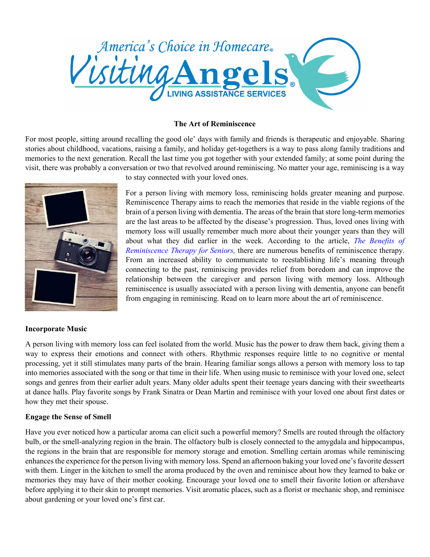

#### **The Art of Reminiscence**

For most people, sitting around recalling the good ole' days with family and friends is therapeutic and enjoyable. Sharing stories about childhood, vacations, raising a family, and holiday get-togethers is a way to pass along family traditions and memories to the next generation. Recall the last time you got together with your extended family; at some point during the visit, there was probably a conversation or two that revolved around reminiscing. No matter your age, reminiscing is a way



### **Incorporate Music**

to stay connected with your loved ones.

For a person living with memory loss, reminiscing holds greater meaning and purpose. Reminiscence Therapy aims to reach the memories that reside in the viable regions of the brain of a person living with dementia. The areas of the brain that store long-term memories are the last areas to be affected by the disease's progression. Thus, loved ones living with memory loss will usually remember much more about their younger years than they will about what they did earlier in the week. According to the article, *The [Benefits](http://assistedlivingtoday.com/blog/the-benefits-of-reminiscence-therapy-for-seniors/) of [Reminiscence](http://assistedlivingtoday.com/blog/the-benefits-of-reminiscence-therapy-for-seniors/) Therapy for Seniors,* there are numerous benefits of reminiscence therapy. From an increased ability to communicate to reestablishing life's meaning through connecting to the past, reminiscing provides relief from boredom and can improve the relationship between the caregiver and person living with memory loss. Although reminiscence is usually associated with a person living with dementia, anyone can benefit from engaging in reminiscing. Read on to learn more about the art of reminiscence.

A person living with memory loss can feel isolated from the world. Music has the power to draw them back, giving them a way to express their emotions and connect with others. Rhythmic responses require little to no cognitive or mental processing, yet it still stimulates many parts of the brain. Hearing familiar songs allows a person with memory loss to tap into memories associated with the song or that time in their life. When using music to reminisce with your loved one, select songs and genres from their earlier adult years. Many older adults spent their teenage years dancing with their sweethearts at dance halls. Play favorite songs by Frank Sinatra or Dean Martin and reminisce with your loved one about first dates or how they met their spouse.

### **Engage the Sense of Smell**

Have you ever noticed how a particular aroma can elicit such a powerful memory? Smells are routed through the olfactory bulb, or the smell-analyzing region in the brain. The olfactory bulb is closely connected to the amygdala and hippocampus, the regions in the brain that are responsible for memory storage and emotion. Smelling certain aromas while reminiscing enhances the experience for the person living with memory loss. Spend an afternoon baking your loved one's favorite dessert with them. Linger in the kitchen to smell the aroma produced by the oven and reminisce about how they learned to bake or memories they may have of their mother cooking. Encourage your loved one to smell their favorite lotion or aftershave before applying it to their skin to prompt memories. Visit aromatic places, such as a florist or mechanic shop, and reminisce about gardening or your loved one's first car.